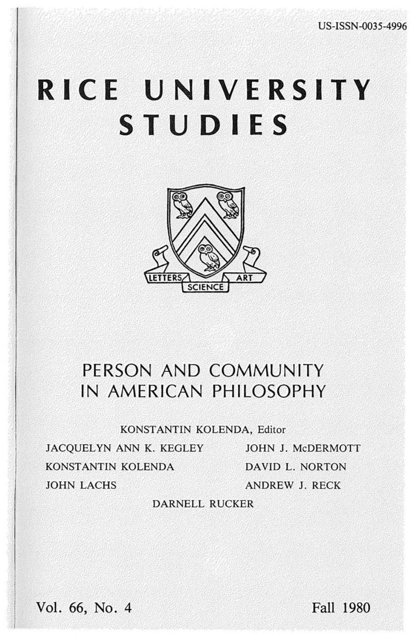# RICE UNIVERSITY **STUDIES**



# PERSON AND COMMUNITY IN AMERICAN PHILOSOPHY

KONSTANTIN KOLENDA, Editor

JACQUELYN ANN K. KEGLEY JOHN J. McDERMOTT KONSTANTIN KOLENDA **JOHN LACHS** 

DAVID L. NORTON **ANDREW J. RECK** 

## **DARNELL RUCKER**

Vol. 66, No. 4

Fall 1980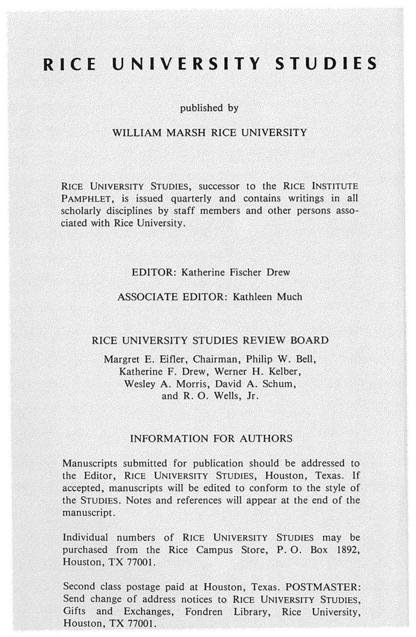## RICE UNIVERSITY STUDIES

#### published by

#### WILLIAM MARSH RICE UNIVERSITY

RICE UNIVERSITY STUDIES, successor to the RICE INSTITUTE PAMPHLET, is issued quarterly and contains writings in all scholarly disciplines by staff members and other persons associated with Rice University.

#### **EDITOR: Katherine Fischer Drew**

#### **ASSOCIATE EDITOR: Kathleen Much**

#### RICE UNIVERSITY STUDIES REVIEW BOARD

Margret E. Eifler, Chairman, Philip W. Bell, Katherine F. Drew, Werner H. Kelber, Wesley A. Morris, David A. Schum, and R. O. Wells, Jr.

#### **INFORMATION FOR AUTHORS**

Manuscripts submitted for publication should be addressed to the Editor, RICE UNIVERSITY STUDIES, Houston, Texas. If accepted, manuscripts will be edited to conform to the style of the STUDIES. Notes and references will appear at the end of the manuscript.

Individual numbers of RICE UNIVERSITY STUDIES may be purchased from the Rice Campus Store, P.O. Box 1892, Houston, TX 77001.

Second class postage paid at Houston, Texas. POSTMASTER: Send change of address notices to RICE UNIVERSITY STUDIES, Gifts and Exchanges, Fondren Library, Rice University, Houston, TX 77001.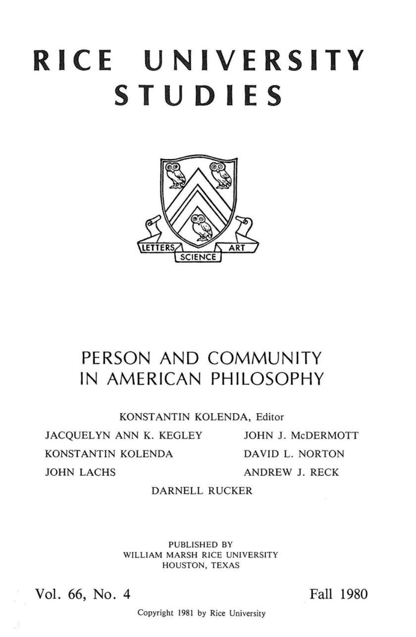# **RICE UNIVERSITY STUDIES**



## **PERSON AND COMMUNITY IN AMERICAN PHILOSOPHY**

KONSTANTIN KOLENDA, Editor

JACQUELYN ANN K. KEGLEY JOHN J. McDERMOTT KONSTANTIN KOLENDA JOHN LACHS

DAVID L. NORTON ANDREW J. RECK

### DARNELL RUCKER

PUBLISHED BY WILLIAM MARSH RICE UNIVERSITY HOUSTON, TEXAS

Vol. 66, No. 4

Fall 1980

Copyright 1981 by Rice University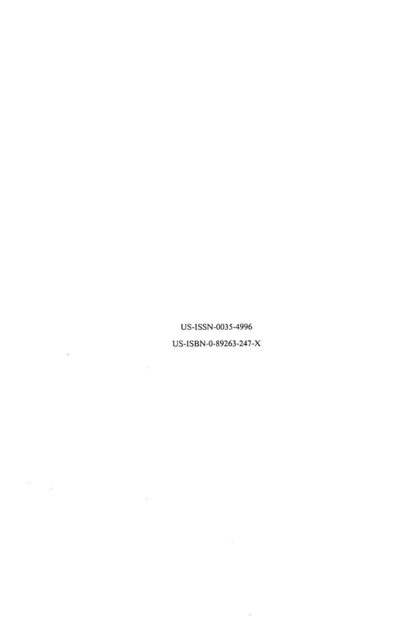US-ISSN-0035-4996 US-ISBN-0-89263-247-X

 $\frac{1}{2}$ 

 $\mathcal{L}^{\prime}(\mathcal{M}_{\mathcal{C}})$  .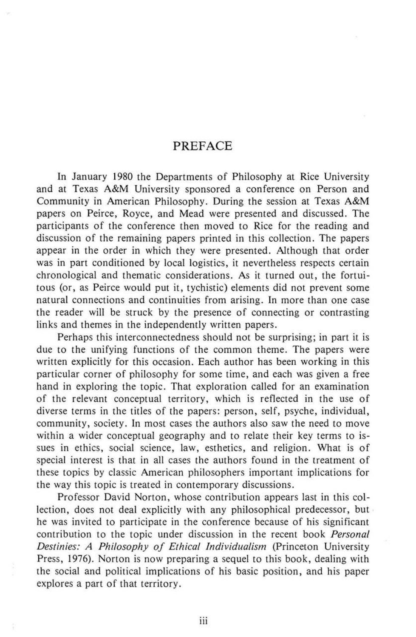### **PREFACE**

In January 1980 the Departments of Philosophy at Rice University and at Texas A&M University sponsored a conference on Person and Community in American Philosophy. During the session at Texas A&M papers on Peirce, Royce, and Mead were presented and discussed. The participants of the conference then moved to Rice for the reading and discussion of the remaining papers printed in this collection. The papers appear in the order in which they were presented. Although that order was in part conditioned by local logistics, it nevertheless respects certain chronological and thematic considerations. As it turned out, the fortuitous (or, as Peirce would put it, tychistic) elements did not prevent some natural connections and continuities from arising. In more than one case the reader will be struck by the presence of connecting or contrasting links and themes in the independently written papers.

Perhaps this interconnectedness should not be surprising; in part it is due to the unifying functions of the common theme. The papers were written explicitly for this occasion. Each author has been working in this particular corner of philosophy for some time, and each was given a free hand in exploring the topic. That exploration called for an examination of the relevant conceptual territory, which is reflected in the use of diverse terms in the titles of the papers: person, self, psyche, individual, community, society. In most cases the authors also saw the need to move within a wider conceptual geography and to relate their key terms to issues in ethics, social science, law, esthetics, and religion. What is of special interest is that in all cases the authors found in the treatment of these topics by classic American philosophers important implications for the way this topic is treated in contemporary discussions.

Professor David Norton, whose contribution appears last in this collection, does not deal explicitly with any philosophical predecessor, but he was invited to participate in the conference because of his significant contribution to the topic under discussion in the recent book *Personal Destinies: A Philosophy of Ethical Individualism* (Princeton University Press, 1976). Norton is now preparing a sequel to this book, dealing with the social and political implications of his basic position, and his paper explores a part of that territory.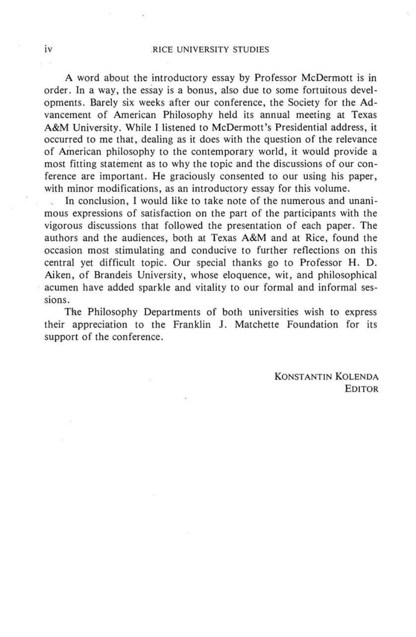#### iv RICE UNIVERSITY STUDIES

A word about the introductory essay by Professor McDermott is in order. In a way, the essay is a bonus, also due to some fortuitous developments. Barely six weeks after our conference, the Society for the Advancement of American Philosophy held its annual meeting at Texas A&M University. While I listened to McDermott's Presidential address, it occurred to me that, dealing as it does with the question of the relevance of American philosophy to the contemporary world, it would provide a most fitting statement as to why the topic and the discussions of our conference are important. He graciously consented to our using his paper, with minor modifications, as an introductory essay for this volume.

In conclusion, I would like to take note of the numerous and unanimous expressions of satisfaction on the part of the participants with the vigorous discussions that followed the presentation of each paper. The authors and the audiences, both at Texas A&M and at Rice, found the occasion most stimulating and conducive to further reflections on this central yet difficult topic. Our special thanks go to Professor H. D. Aiken, of Brandeis University, whose eloquence, wit, and philosophical acumen have added sparkle and vitality to our formal and informal sessions.

The Philosophy Departments of both universities wish to express their appreciation to the Franklin J. Matchette Foundation for its support of the conference.

> KONSTANTIN KOLENDA EDITOR